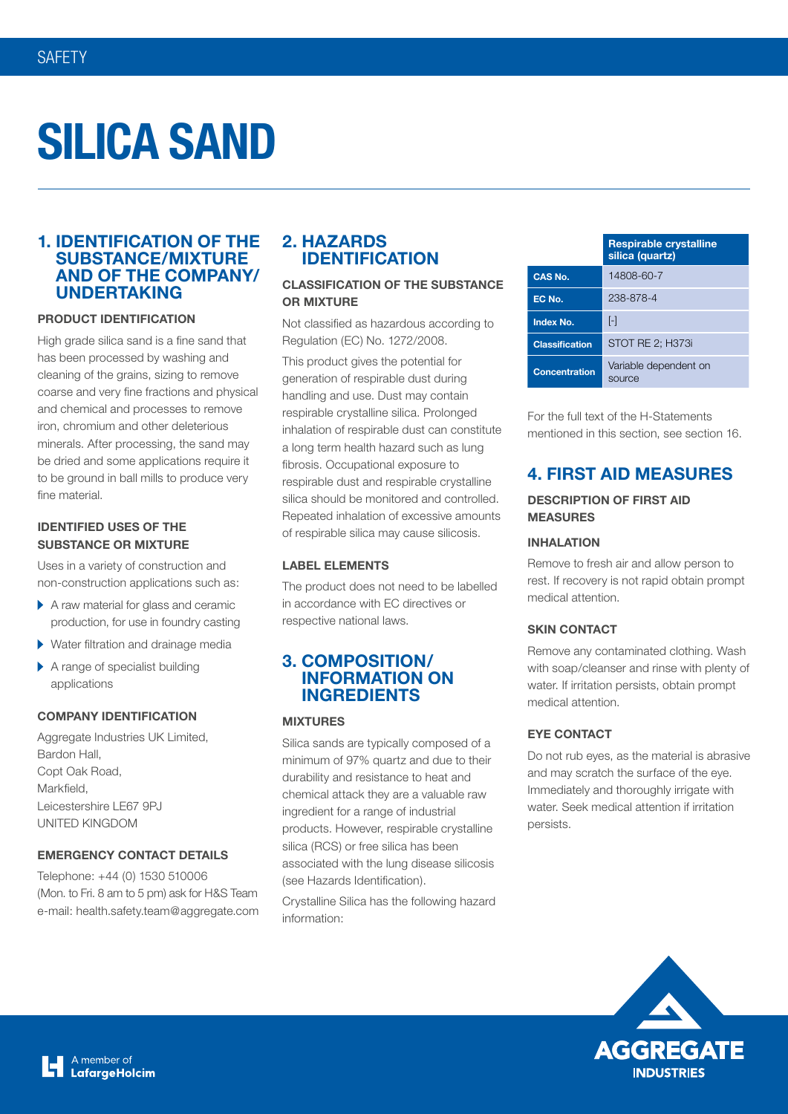# **SILICA SAND**

# **1. IDENTIFICATION OF THE SUBSTANCE/MIXTURE AND OF THE COMPANY/ UNDERTAKING**

#### **PRODUCT IDENTIFICATION**

High grade silica sand is a fine sand that has been processed by washing and cleaning of the grains, sizing to remove coarse and very fine fractions and physical and chemical and processes to remove iron, chromium and other deleterious minerals. After processing, the sand may be dried and some applications require it to be ground in ball mills to produce very fine material.

#### **IDENTIFIED USES OF THE SUBSTANCE OR MIXTURE**

Uses in a variety of construction and non-construction applications such as:

- $\blacktriangleright$  A raw material for glass and ceramic production, for use in foundry casting
- Water filtration and drainage media
- A range of specialist building applications

#### **COMPANY IDENTIFICATION**

Aggregate Industries UK Limited, Bardon Hall, Copt Oak Road, Markfield, Leicestershire LE67 9PJ UNITED KINGDOM

#### **EMERGENCY CONTACT DETAILS**

Telephone: +44 (0) 1530 510006 (Mon. to Fri. 8 am to 5 pm) ask for H&S Team e-mail: health.safety.team@aggregate.com

# **2. HAZARDS IDENTIFICATION**

## **CLASSIFICATION OF THE SUBSTANCE OR MIXTURE**

Not classified as hazardous according to Regulation (EC) No. 1272/2008.

This product gives the potential for generation of respirable dust during handling and use. Dust may contain respirable crystalline silica. Prolonged inhalation of respirable dust can constitute a long term health hazard such as lung fibrosis. Occupational exposure to respirable dust and respirable crystalline silica should be monitored and controlled. Repeated inhalation of excessive amounts of respirable silica may cause silicosis.

#### **LABEL ELEMENTS**

The product does not need to be labelled in accordance with EC directives or respective national laws.

# **3. COMPOSITION/ INFORMATION ON INGREDIENTS**

#### **MIXTURES**

Silica sands are typically composed of a minimum of 97% quartz and due to their durability and resistance to heat and chemical attack they are a valuable raw ingredient for a range of industrial products. However, respirable crystalline silica (RCS) or free silica has been associated with the lung disease silicosis (see Hazards Identification).

Crystalline Silica has the following hazard information:

|                       | <b>Respirable crystalline</b><br>silica (quartz) |  |
|-----------------------|--------------------------------------------------|--|
| <b>CAS No.</b>        | 14808-60-7                                       |  |
| EC No.                | 238-878-4                                        |  |
| <b>Index No.</b>      | [-]                                              |  |
| <b>Classification</b> | STOT RE 2; H373i                                 |  |
| <b>Concentration</b>  | Variable dependent on<br>SOUrce                  |  |

For the full text of the H-Statements mentioned in this section, see section 16.

# **4. FIRST AID MEASURES**

#### **DESCRIPTION OF FIRST AID MEASURES**

#### **INHALATION**

Remove to fresh air and allow person to rest. If recovery is not rapid obtain prompt medical attention.

#### **SKIN CONTACT**

Remove any contaminated clothing. Wash with soap/cleanser and rinse with plenty of water. If irritation persists, obtain prompt medical attention.

#### **EYE CONTACT**

Do not rub eyes, as the material is abrasive and may scratch the surface of the eye. Immediately and thoroughly irrigate with water. Seek medical attention if irritation persists.



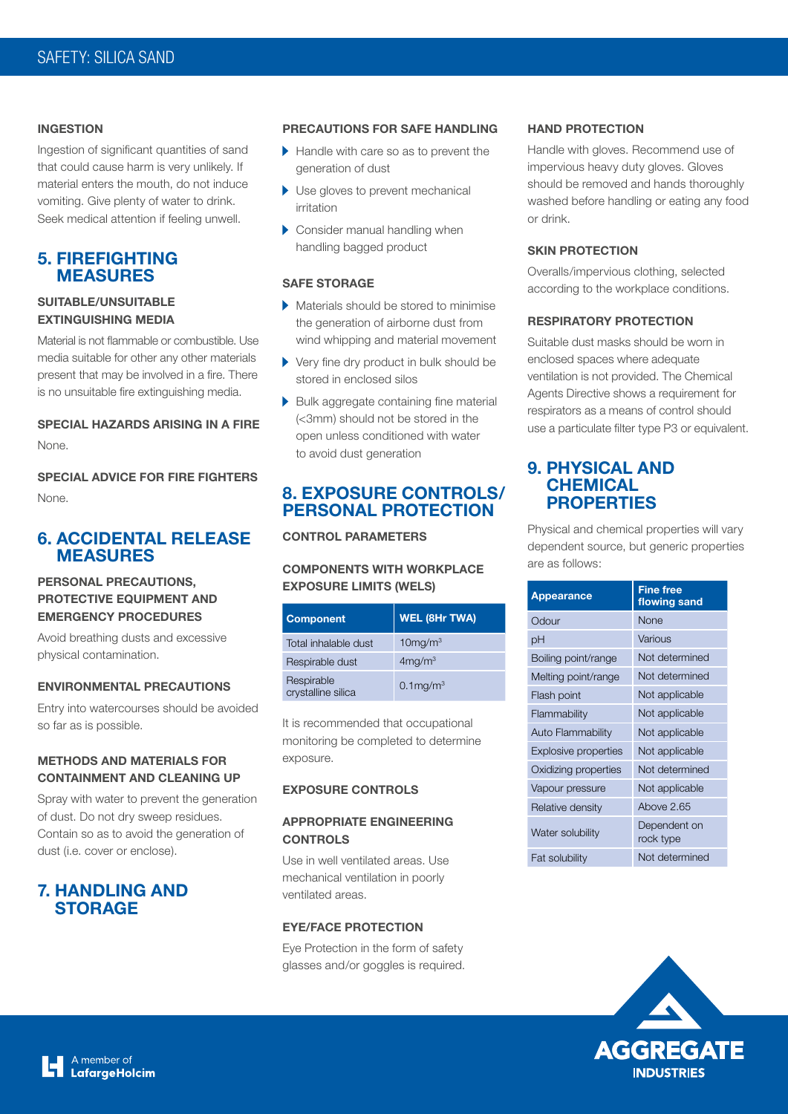#### **INGESTION**

Ingestion of significant quantities of sand that could cause harm is very unlikely. If material enters the mouth, do not induce vomiting. Give plenty of water to drink. Seek medical attention if feeling unwell.

#### **5. FIREFIGHTING MEASURES**

#### **SUITABLE/UNSUITABLE EXTINGUISHING MEDIA**

Material is not flammable or combustible. Use media suitable for other any other materials present that may be involved in a fire. There is no unsuitable fire extinguishing media.

## **SPECIAL HAZARDS ARISING IN A FIRE** None.

# **SPECIAL ADVICE FOR FIRE FIGHTERS** None.

# **6. ACCIDENTAL RELEASE MEASURES**

## **PERSONAL PRECAUTIONS, PROTECTIVE EQUIPMENT AND EMERGENCY PROCEDURES**

Avoid breathing dusts and excessive physical contamination.

#### **ENVIRONMENTAL PRECAUTIONS**

Entry into watercourses should be avoided so far as is possible.

#### **METHODS AND MATERIALS FOR CONTAINMENT AND CLEANING UP**

Spray with water to prevent the generation of dust. Do not dry sweep residues. Contain so as to avoid the generation of dust (i.e. cover or enclose).

# **7. HANDLING AND STORAGE**

#### **PRECAUTIONS FOR SAFE HANDLING**

- Handle with care so as to prevent the generation of dust
- Use gloves to prevent mechanical irritation
- Consider manual handling when handling bagged product

# **SAFE STORAGE**

- Materials should be stored to minimise the generation of airborne dust from wind whipping and material movement
- Very fine dry product in bulk should be stored in enclosed silos
- Bulk aggregate containing fine material (<3mm) should not be stored in the open unless conditioned with water to avoid dust generation

# **8. EXPOSURE CONTROLS/ PERSONAL PROTECTION**

#### **CONTROL PARAMETERS**

#### **COMPONENTS WITH WORKPLACE EXPOSURE LIMITS (WELS)**

| <b>Component</b>                 | <b>WEL (8Hr TWA)</b>    |
|----------------------------------|-------------------------|
| Total inhalable dust             | $10$ mg/m $3$           |
| Respirable dust                  | 4mg/m <sup>3</sup>      |
| Respirable<br>crystalline silica | $0.1$ mg/m <sup>3</sup> |

It is recommended that occupational monitoring be completed to determine exposure.

#### **EXPOSURE CONTROLS**

#### **APPROPRIATE ENGINEERING CONTROLS**

Use in well ventilated areas. Use mechanical ventilation in poorly ventilated areas.

#### **EYE/FACE PROTECTION**

Eye Protection in the form of safety glasses and/or goggles is required.

#### **HAND PROTECTION**

Handle with gloves. Recommend use of impervious heavy duty gloves. Gloves should be removed and hands thoroughly washed before handling or eating any food or drink.

#### **SKIN PROTECTION**

Overalls/impervious clothing, selected according to the workplace conditions.

#### **RESPIRATORY PROTECTION**

Suitable dust masks should be worn in enclosed spaces where adequate ventilation is not provided. The Chemical Agents Directive shows a requirement for respirators as a means of control should use a particulate filter type P3 or equivalent.

# **9. PHYSICAL AND CHEMICAL PROPERTIES**

Physical and chemical properties will vary dependent source, but generic properties are as follows:

| <b>Appearance</b>           | <b>Fine free</b><br>flowing sand |
|-----------------------------|----------------------------------|
| Odour                       | None                             |
| pH                          | Various                          |
| Boiling point/range         | Not determined                   |
| Melting point/range         | Not determined                   |
| Flash point                 | Not applicable                   |
| Flammability                | Not applicable                   |
| Auto Flammability           | Not applicable                   |
| <b>Explosive properties</b> | Not applicable                   |
| Oxidizing properties        | Not determined                   |
| Vapour pressure             | Not applicable                   |
| Relative density            | Above 2.65                       |
| Water solubility            | Dependent on<br>rock type        |
| Fat solubility              | Not determined                   |

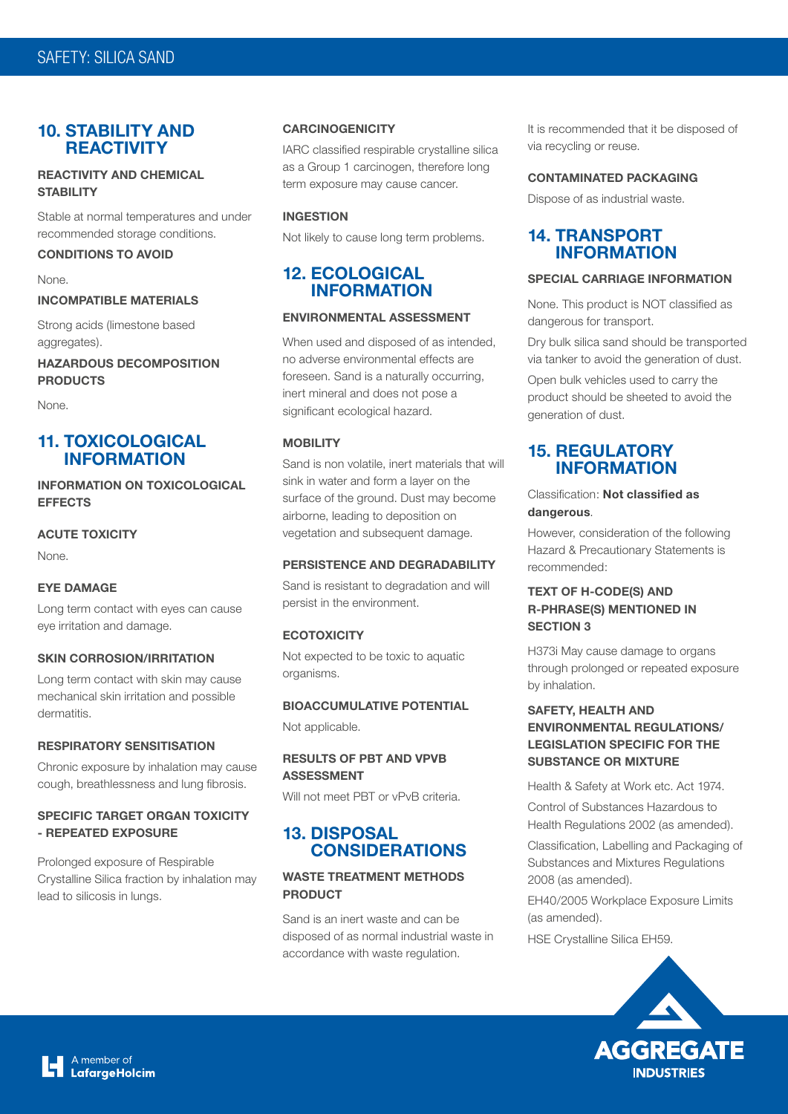# **10. STABILITY AND REACTIVITY**

#### **REACTIVITY AND CHEMICAL STABILITY**

Stable at normal temperatures and under recommended storage conditions.

#### **CONDITIONS TO AVOID**

None.

#### **INCOMPATIBLE MATERIALS**

Strong acids (limestone based aggregates).

**HAZARDOUS DECOMPOSITION PRODUCTS**

None.

# **11. TOXICOLOGICAL INFORMATION**

**INFORMATION ON TOXICOLOGICAL EFFECTS**

#### **ACUTE TOXICITY**

None.

#### **EYE DAMAGE**

Long term contact with eyes can cause eye irritation and damage.

#### **SKIN CORROSION/IRRITATION**

Long term contact with skin may cause mechanical skin irritation and possible dermatitis.

#### **RESPIRATORY SENSITISATION**

Chronic exposure by inhalation may cause cough, breathlessness and lung fibrosis.

### **SPECIFIC TARGET ORGAN TOXICITY - REPEATED EXPOSURE**

Prolonged exposure of Respirable Crystalline Silica fraction by inhalation may lead to silicosis in lungs.

#### **CARCINOGENICITY**

IARC classified respirable crystalline silica as a Group 1 carcinogen, therefore long term exposure may cause cancer.

#### **INGESTION**

Not likely to cause long term problems.

# **12. ECOLOGICAL INFORMATION**

#### **ENVIRONMENTAL ASSESSMENT**

When used and disposed of as intended, no adverse environmental effects are foreseen. Sand is a naturally occurring, inert mineral and does not pose a significant ecological hazard.

#### **MOBILITY**

Sand is non volatile, inert materials that will sink in water and form a layer on the surface of the ground. Dust may become airborne, leading to deposition on vegetation and subsequent damage.

#### **PERSISTENCE AND DEGRADABILITY**

Sand is resistant to degradation and will persist in the environment.

#### **ECOTOXICITY**

Not expected to be toxic to aquatic organisms.

#### **BIOACCUMULATIVE POTENTIAL**

Not applicable.

#### **RESULTS OF PBT AND VPVB ASSESSMENT**

Will not meet PBT or vPvB criteria.

# **13. DISPOSAL CONSIDERATIONS**

### **WASTE TREATMENT METHODS PRODUCT**

Sand is an inert waste and can be disposed of as normal industrial waste in accordance with waste regulation.

It is recommended that it be disposed of via recycling or reuse.

#### **CONTAMINATED PACKAGING**

Dispose of as industrial waste.

# **14. TRANSPORT INFORMATION**

#### **SPECIAL CARRIAGE INFORMATION**

None. This product is NOT classified as dangerous for transport.

Dry bulk silica sand should be transported via tanker to avoid the generation of dust.

Open bulk vehicles used to carry the product should be sheeted to avoid the generation of dust.

# **15. REGULATORY INFORMATION**

#### Classification: **Not classified as dangerous**.

However, consideration of the following Hazard & Precautionary Statements is recommended:

## **TEXT OF H-CODE(S) AND R-PHRASE(S) MENTIONED IN SECTION 3**

H373i May cause damage to organs through prolonged or repeated exposure by inhalation.

## **SAFETY, HEALTH AND ENVIRONMENTAL REGULATIONS/ LEGISLATION SPECIFIC FOR THE SUBSTANCE OR MIXTURE**

Health & Safety at Work etc. Act 1974.

Control of Substances Hazardous to Health Regulations 2002 (as amended).

Classification, Labelling and Packaging of Substances and Mixtures Regulations 2008 (as amended).

EH40/2005 Workplace Exposure Limits (as amended).

HSE Crystalline Silica EH59.